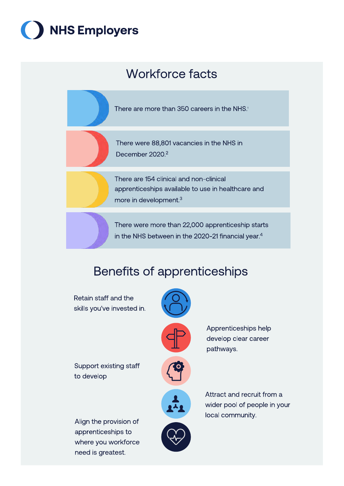



# Benefits of apprenticeships